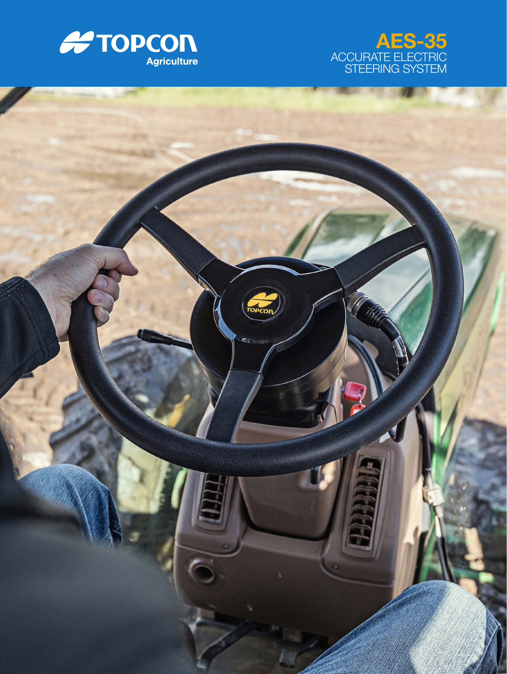